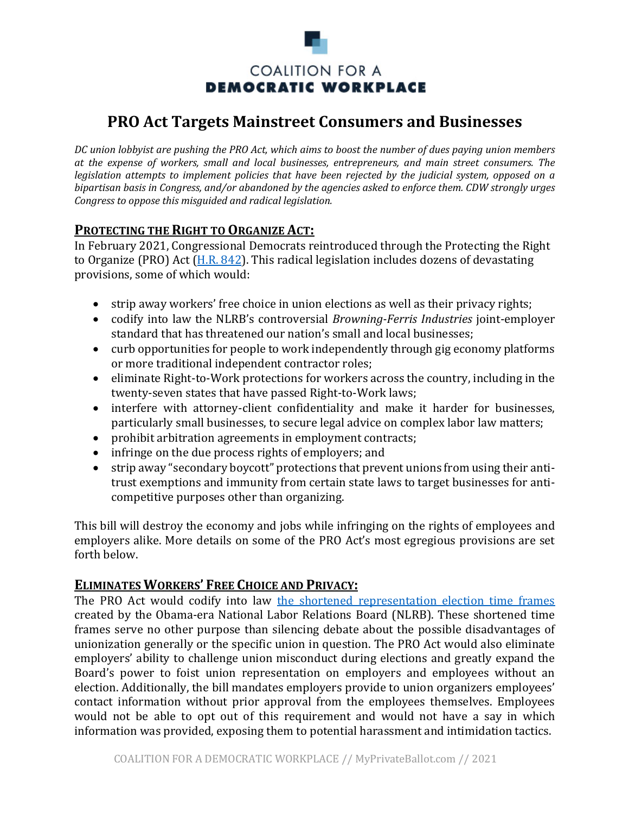

# **PRO Act Targets Mainstreet Consumers and Businesses**

*DC* union lobbyist are pushing the PRO Act, which aims to boost the number of dues paying union members *at the expense of workers, small and local businesses, entrepreneurs, and main street consumers. The legislation attempts to implement policies that have been rejected by the judicial system, opposed on a bipartisan basis in Congress, and/or abandoned by the agencies asked to enforce them. CDW strongly urges Congress to oppose this misguided and radical legislation.* 

# **PROTECTING THE RIGHT TO ORGANIZE ACT:**

In February 2021, Congressional Democrats reintroduced through the Protecting the Right to Organize (PRO) Act ( $H.R. 842$ ). This radical legislation includes dozens of devastating provisions, some of which would:

- strip away workers' free choice in union elections as well as their privacy rights;
- codify into law the NLRB's controversial *Browning-Ferris Industries* joint-employer standard that has threatened our nation's small and local businesses;
- curb opportunities for people to work independently through gig economy platforms or more traditional independent contractor roles;
- eliminate Right-to-Work protections for workers across the country, including in the twenty-seven states that have passed Right-to-Work laws;
- interfere with attorney-client confidentiality and make it harder for businesses, particularly small businesses, to secure legal advice on complex labor law matters;
- prohibit arbitration agreements in employment contracts;
- infringe on the due process rights of employers; and
- strip away "secondary boycott" protections that prevent unions from using their antitrust exemptions and immunity from certain state laws to target businesses for anticompetitive purposes other than organizing.

This bill will destroy the economy and jobs while infringing on the rights of employees and employers alike. More details on some of the PRO Act's most egregious provisions are set forth below.

#### **ELIMINATES WORKERS' FREE CHOICE AND PRIVACY:**

The PRO Act would codify into law the shortened representation election time frames created by the Obama-era National Labor Relations Board (NLRB). These shortened time frames serve no other purpose than silencing debate about the possible disadvantages of unionization generally or the specific union in question. The PRO Act would also eliminate employers' ability to challenge union misconduct during elections and greatly expand the Board's power to foist union representation on employers and employees without an election. Additionally, the bill mandates employers provide to union organizers employees' contact information without prior approval from the employees themselves. Employees would not be able to opt out of this requirement and would not have a say in which information was provided, exposing them to potential harassment and intimidation tactics.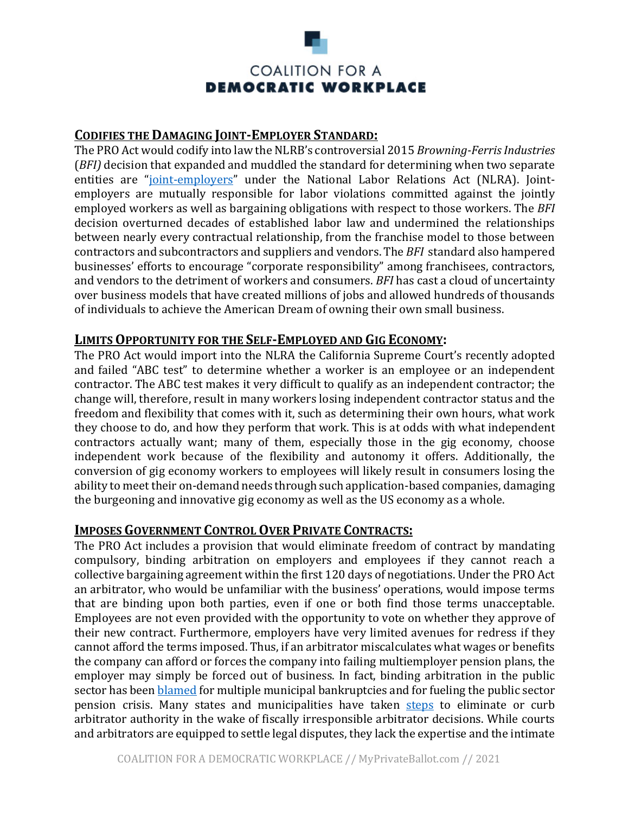

# **CODIFIES THE DAMAGING JOINT-EMPLOYER STANDARD:**

The PRO Act would codify into law the NLRB's controversial 2015 *Browning-Ferris Industries* (*BFI*) decision that expanded and muddled the standard for determining when two separate entities are "joint-employers" under the National Labor Relations Act (NLRA). Jointemployers are mutually responsible for labor violations committed against the jointly employed workers as well as bargaining obligations with respect to those workers. The *BFI* decision overturned decades of established labor law and undermined the relationships between nearly every contractual relationship, from the franchise model to those between contractors and subcontractors and suppliers and vendors. The *BFI* standard also hampered businesses' efforts to encourage "corporate responsibility" among franchisees, contractors, and vendors to the detriment of workers and consumers. *BFI* has cast a cloud of uncertainty over business models that have created millions of jobs and allowed hundreds of thousands of individuals to achieve the American Dream of owning their own small business.

#### **LIMITS OPPORTUNITY FOR THE SELF-EMPLOYED AND GIG ECONOMY:**

The PRO Act would import into the NLRA the California Supreme Court's recently adopted and failed "ABC test" to determine whether a worker is an employee or an independent contractor. The ABC test makes it very difficult to qualify as an independent contractor; the change will, therefore, result in many workers losing independent contractor status and the freedom and flexibility that comes with it, such as determining their own hours, what work they choose to do, and how they perform that work. This is at odds with what independent contractors actually want; many of them, especially those in the gig economy, choose independent work because of the flexibility and autonomy it offers. Additionally, the conversion of gig economy workers to employees will likely result in consumers losing the ability to meet their on-demand needs through such application-based companies, damaging the burgeoning and innovative gig economy as well as the US economy as a whole.

#### **IMPOSES GOVERNMENT CONTROL OVER PRIVATE CONTRACTS:**

The PRO Act includes a provision that would eliminate freedom of contract by mandating compulsory, binding arbitration on employers and employees if they cannot reach a collective bargaining agreement within the first 120 days of negotiations. Under the PRO Act an arbitrator, who would be unfamiliar with the business' operations, would impose terms that are binding upon both parties, even if one or both find those terms unacceptable. Employees are not even provided with the opportunity to vote on whether they approve of their new contract. Furthermore, employers have very limited avenues for redress if they cannot afford the terms imposed. Thus, if an arbitrator miscalculates what wages or benefits the company can afford or forces the company into failing multiemployer pension plans, the employer may simply be forced out of business. In fact, binding arbitration in the public sector has been **blamed** for multiple municipal bankruptcies and for fueling the public sector pension crisis. Many states and municipalities have taken steps to eliminate or curb arbitrator authority in the wake of fiscally irresponsible arbitrator decisions. While courts and arbitrators are equipped to settle legal disputes, they lack the expertise and the intimate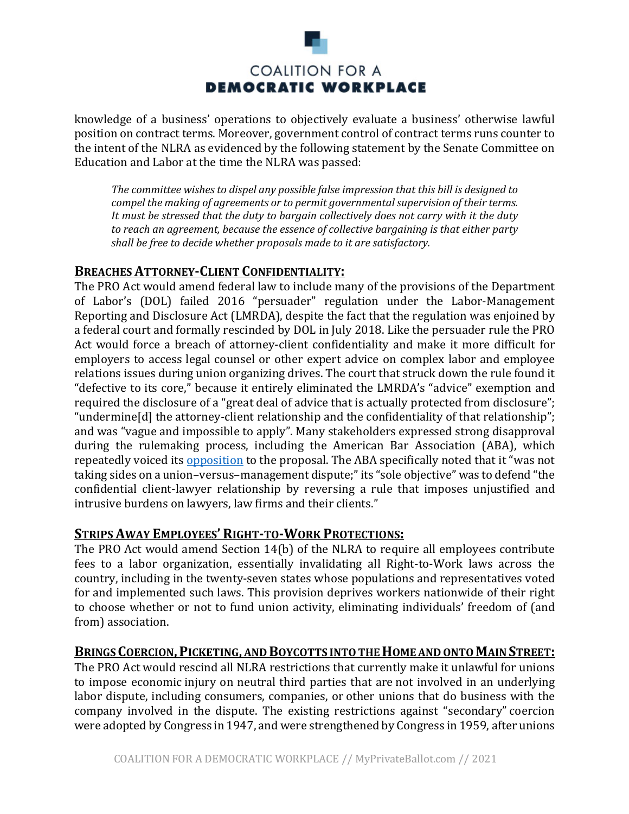

knowledge of a business' operations to objectively evaluate a business' otherwise lawful position on contract terms. Moreover, government control of contract terms runs counter to the intent of the NLRA as evidenced by the following statement by the Senate Committee on Education and Labor at the time the NLRA was passed:

The committee wishes to dispel any possible false impression that this bill is designed to *compel the making of agreements or to permit governmental supervision of their terms.* It must be stressed that the duty to bargain collectively does not carry with it the duty to reach an agreement, because the essence of collective bargaining is that either party shall be free to decide whether proposals made to it are satisfactory.

# **BREACHES ATTORNEY-CLIENT CONFIDENTIALITY:**

The PRO Act would amend federal law to include many of the provisions of the Department of Labor's (DOL) failed 2016 "persuader" regulation under the Labor-Management Reporting and Disclosure Act (LMRDA), despite the fact that the regulation was enjoined by a federal court and formally rescinded by DOL in July 2018. Like the persuader rule the PRO Act would force a breach of attorney-client confidentiality and make it more difficult for employers to access legal counsel or other expert advice on complex labor and employee relations issues during union organizing drives. The court that struck down the rule found it "defective to its core," because it entirely eliminated the LMRDA's "advice" exemption and required the disclosure of a "great deal of advice that is actually protected from disclosure"; "undermine[d] the attorney-client relationship and the confidentiality of that relationship"; and was "vague and impossible to apply". Many stakeholders expressed strong disapproval during the rulemaking process, including the American Bar Association (ABA), which repeatedly voiced its opposition to the proposal. The ABA specifically noted that it "was not taking sides on a union-versus-management dispute;" its "sole objective" was to defend "the confidential client-lawyer relationship by reversing a rule that imposes unjustified and intrusive burdens on lawyers, law firms and their clients."

# **STRIPS AWAY EMPLOYEES' RIGHT-TO-WORK PROTECTIONS:**

The PRO Act would amend Section  $14(b)$  of the NLRA to require all employees contribute fees to a labor organization, essentially invalidating all Right-to-Work laws across the country, including in the twenty-seven states whose populations and representatives voted for and implemented such laws. This provision deprives workers nationwide of their right to choose whether or not to fund union activity, eliminating individuals' freedom of (and from) association.

#### **BRINGS COERCION, PICKETING, AND BOYCOTTS INTO THE HOME AND ONTO MAIN STREET:**

The PRO Act would rescind all NLRA restrictions that currently make it unlawful for unions to impose economic injury on neutral third parties that are not involved in an underlying labor dispute, including consumers, companies, or other unions that do business with the company involved in the dispute. The existing restrictions against "secondary" coercion were adopted by Congress in 1947, and were strengthened by Congress in 1959, after unions